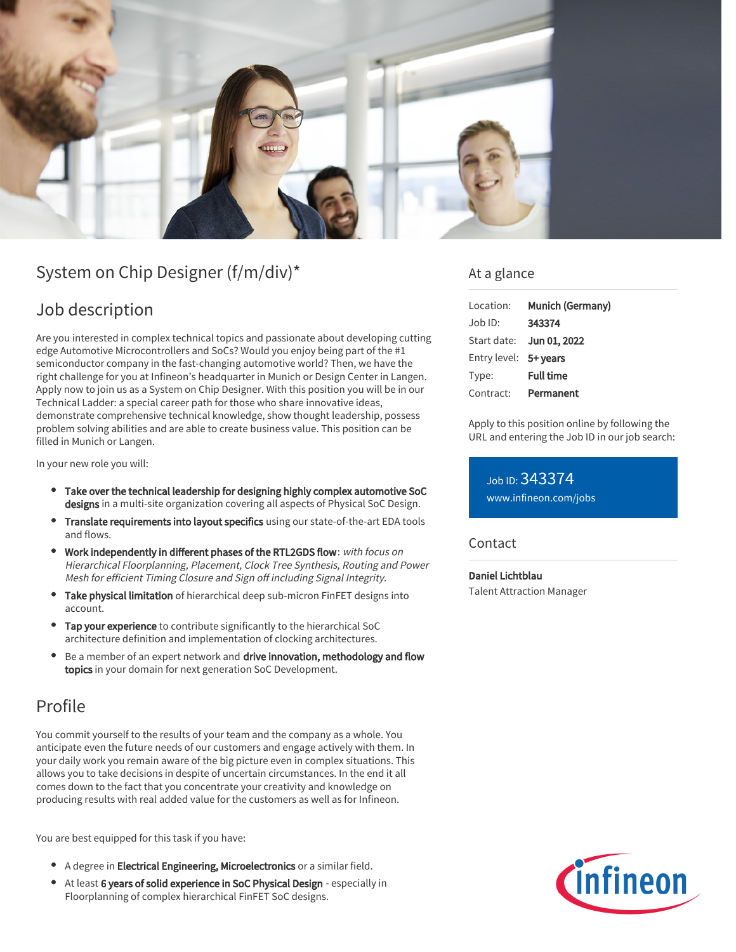

# System on Chip Designer (f/m/div)\*

## Job description

Are you interested in complex technical topics and passionate about developing cutting edge Automotive Microcontrollers and SoCs? Would you enjoy being part of the #1 semiconductor company in the fast-changing automotive world? Then, we have the right challenge for you at Infineon's headquarter in Munich or Design Center in Langen. Apply now to join us as a System on Chip Designer. With this position you will be in our Technical Ladder: a special career path for those who share innovative ideas, demonstrate comprehensive technical knowledge, show thought leadership, possess problem solving abilities and are able to create business value. This position can be filled in Munich or Langen.

In your new role you will:

- Take over the technical leadership for designing highly complex automotive SoC designs in a multi-site organization covering all aspects of Physical SoC Design.
- Translate requirements into layout specifics using our state-of-the-art EDA tools and flows.
- Work independently in different phases of the RTL2GDS flow: with focus on Hierarchical Floorplanning, Placement, Clock Tree Synthesis, Routing and Power Mesh for efficient Timing Closure and Sign off including Signal Integrity.
- **Take physical limitation** of hierarchical deep sub-micron FinFET designs into account.
- Tap your experience to contribute significantly to the hierarchical SoC architecture definition and implementation of clocking architectures.
- Be a member of an expert network and drive innovation, methodology and flow topics in your domain for next generation SoC Development.

## Profile

You commit yourself to the results of your team and the company as a whole. You anticipate even the future needs of our customers and engage actively with them. In your daily work you remain aware of the big picture even in complex situations. This allows you to take decisions in despite of uncertain circumstances. In the end it all comes down to the fact that you concentrate your creativity and knowledge on producing results with real added value for the customers as well as for Infineon.

You are best equipped for this task if you have:

- A degree in Electrical Engineering, Microelectronics or a similar field.
- $\bullet$ At least 6 years of solid experience in SoC Physical Design - especially in Floorplanning of complex hierarchical FinFET SoC designs.

### At a glance

| Location:             | Munich (Germany)         |
|-----------------------|--------------------------|
| $Job$ ID:             | 343374                   |
|                       | Start date: Jun 01, 2022 |
| Entry level: 5+ years |                          |
| Type:                 | <b>Full time</b>         |
| Contract:             | Permanent                |

Apply to this position online by following the URL and entering the Job ID in our job search:

Job ID: 343374 [www.infineon.com/jobs](https://www.infineon.com/jobs)

#### **Contact**

Daniel Lichtblau Talent Attraction Manager